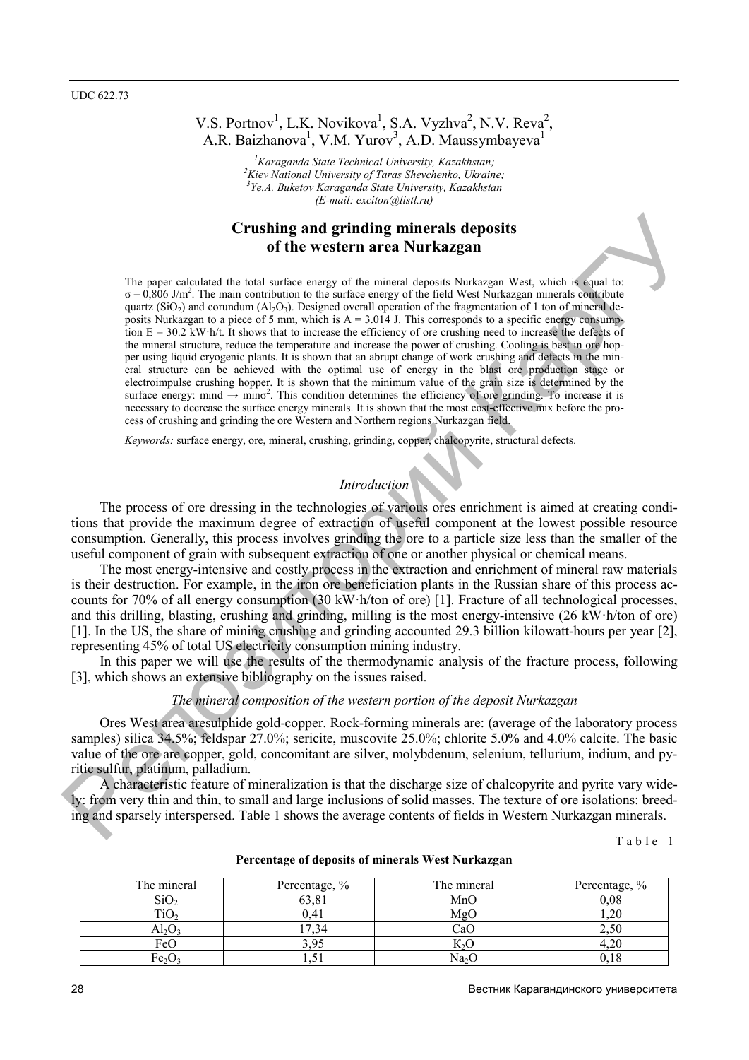# V.S. Portnov<sup>1</sup>, L.K. Novikova<sup>1</sup>, S.A. Vyzhva<sup>2</sup>, N.V. Reva<sup>2</sup>, A.R. Baizhanova<sup>1</sup>, V.M. Yurov<sup>3</sup>, A.D. Maussymbayeva<sup>1</sup>

<sup>1</sup> Karaganda State Technical University, Kazakhstan;<br><sup>2</sup> Kisy National University of Tangs Shayeharko, Ulmain *Kiev National University of Taras Shevchenko, Ukraine; 3 Ye.A. Buketov Karaganda State University, Kazakhstan (E-mail: exciton@listl.ru)* 

# **Crushing and grinding minerals deposits of the western area Nurkazgan**

The paper calculated the total surface energy of the mineral deposits Nurkazgan West, which is equal to:  $\sigma = 0.806$  J/m<sup>2</sup>. The main contribution to the surface energy of the field West Nurkazgan minerals contribute quartz (SiO<sub>2</sub>) and corundum (Al<sub>2</sub>O<sub>3</sub>). Designed overall operation of the fragmentation of 1 ton of mineral deposits Nurkazgan to a piece of 5 mm, which is  $A = 3.014$  J. This corresponds to a specific energy consumption E = 30.2 kW·h/t. It shows that to increase the efficiency of ore crushing need to increase the defects of the mineral structure, reduce the temperature and increase the power of crushing. Cooling is best in ore hopper using liquid cryogenic plants. It is shown that an abrupt change of work crushing and defects in the mineral structure can be achieved with the optimal use of energy in the blast ore production stage or electroimpulse crushing hopper. It is shown that the minimum value of the grain size is determined by the surface energy: mind  $\rightarrow$  min $\sigma^2$ . This condition determines the efficiency of ore grinding. To increase it is necessary to decrease the surface energy minerals. It is shown that the most cost-effective mix before the process of crushing and grinding the ore Western and Northern regions Nurkazgan field. **Crushing and grinting minerals deposits**<br>
The paper colculated the boat suffice easy of the minimized shows that the distribution of the paper of the minimized paper and the paper of the minimized paper and the minimized

*Keywords:* surface energy, ore, mineral, crushing, grinding, copper, chalcopyrite, structural defects.

## *Introduction*

The process of ore dressing in the technologies of various ores enrichment is aimed at creating conditions that provide the maximum degree of extraction of useful component at the lowest possible resource consumption. Generally, this process involves grinding the ore to a particle size less than the smaller of the useful component of grain with subsequent extraction of one or another physical or chemical means.

The most energy-intensive and costly process in the extraction and enrichment of mineral raw materials is their destruction. For example, in the iron ore beneficiation plants in the Russian share of this process accounts for 70% of all energy consumption (30 kW·h/ton of ore) [1]. Fracture of all technological processes, and this drilling, blasting, crushing and grinding, milling is the most energy-intensive (26 kW·h/ton of ore) [1]. In the US, the share of mining crushing and grinding accounted 29.3 billion kilowatt-hours per year [2], representing 45% of total US electricity consumption mining industry.

In this paper we will use the results of the thermodynamic analysis of the fracture process, following [3], which shows an extensive bibliography on the issues raised.

#### *The mineral composition of the western portion of the deposit Nurkazgan*

Ores West area aresulphide gold-copper. Rock-forming minerals are: (average of the laboratory process samples) silica 34.5%; feldspar 27.0%; sericite, muscovite 25.0%; chlorite 5.0% and 4.0% calcite. The basic value of the ore are copper, gold, concomitant are silver, molybdenum, selenium, tellurium, indium, and pyritic sulfur, platinum, palladium.

A characteristic feature of mineralization is that the discharge size of chalcopyrite and pyrite vary widely: from very thin and thin, to small and large inclusions of solid masses. The texture of ore isolations: breeding and sparsely interspersed. Table 1 shows the average contents of fields in Western Nurkazgan minerals.

The mineral Percentage,  $\%$  The mineral Percentage,  $\%$  $\text{SiO}_2$  63,81 MnO 0,08  $TiO<sub>2</sub>$  0,41 MgO 1,20  $Al_2O_3$  17,34 CaO 2,50 FeO 3,95 K<sub>2</sub>O 4,20 Fe<sub>2</sub>O<sub>3</sub> 1,51 Na<sub>2</sub>O 18

#### **Percentage of deposits of minerals West Nurkazgan**

Table 1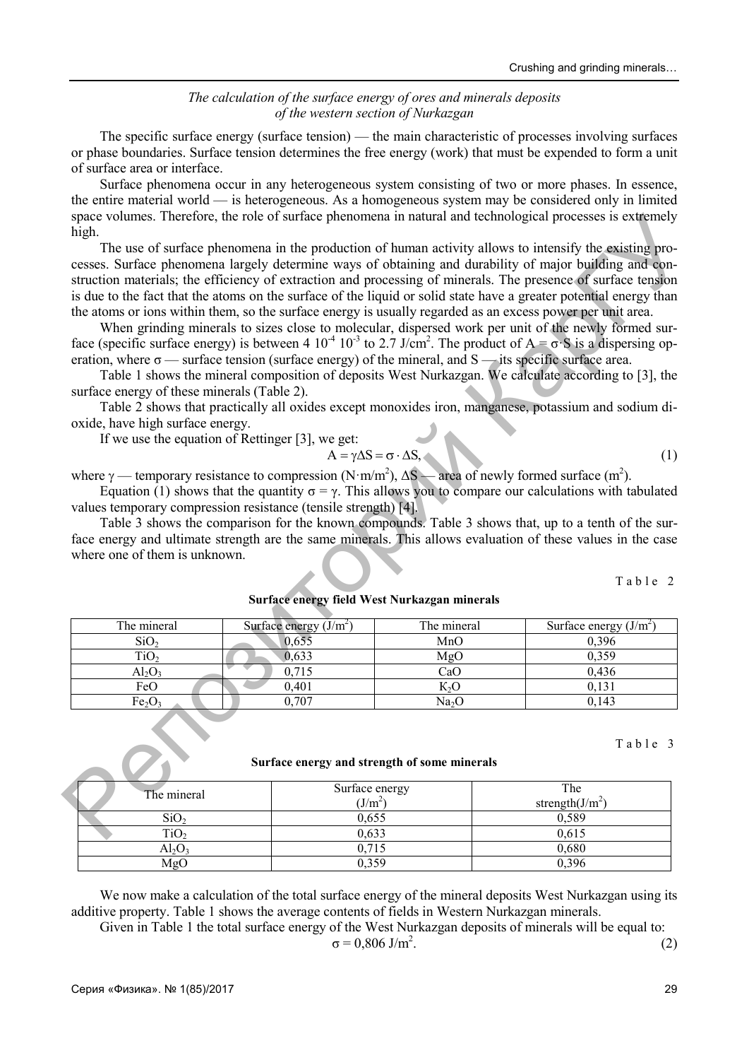### *The calculation of the surface energy of ores and minerals deposits of the western section of Nurkazgan*

The specific surface energy (surface tension) — the main characteristic of processes involving surfaces or phase boundaries. Surface tension determines the free energy (work) that must be expended to form a unit of surface area or interface.

Surface phenomena occur in any heterogeneous system consisting of two or more phases. In essence, the entire material world — is heterogeneous. As a homogeneous system may be considered only in limited space volumes. Therefore, the role of surface phenomena in natural and technological processes is extremely high.

$$
A = \gamma \Delta S = \sigma \cdot \Delta S, \tag{1}
$$

|                                                                                                                                                                                                                                                                  |                                                                                       |                                                | space volumes. Therefore, the role of surface phenomena in natural and technological processes is extremely                                                                                                                                                                                                                                                                                                                                                                                                                                                                                                                                                                                                                                                                                                                                                                                                                                                                                                                                                          |  |  |  |
|------------------------------------------------------------------------------------------------------------------------------------------------------------------------------------------------------------------------------------------------------------------|---------------------------------------------------------------------------------------|------------------------------------------------|----------------------------------------------------------------------------------------------------------------------------------------------------------------------------------------------------------------------------------------------------------------------------------------------------------------------------------------------------------------------------------------------------------------------------------------------------------------------------------------------------------------------------------------------------------------------------------------------------------------------------------------------------------------------------------------------------------------------------------------------------------------------------------------------------------------------------------------------------------------------------------------------------------------------------------------------------------------------------------------------------------------------------------------------------------------------|--|--|--|
| high.<br>eration, where $\sigma$ — surface tension (surface energy) of the mineral, and S — its specific surface area.<br>surface energy of these minerals (Table 2).<br>oxide, have high surface energy.<br>If we use the equation of Rettinger $[3]$ , we get: |                                                                                       | $A = \gamma \Delta S = \sigma \cdot \Delta S,$ | The use of surface phenomena in the production of human activity allows to intensify the existing pro-<br>cesses. Surface phenomena largely determine ways of obtaining and durability of major building and con-<br>struction materials; the efficiency of extraction and processing of minerals. The presence of surface tension<br>is due to the fact that the atoms on the surface of the liquid or solid state have a greater potential energy than<br>the atoms or ions within them, so the surface energy is usually regarded as an excess power per unit area.<br>When grinding minerals to sizes close to molecular, dispersed work per unit of the newly formed sur-<br>face (specific surface energy) is between 4 10 <sup>-4</sup> 10 <sup>-3</sup> to 2.7 J/cm <sup>2</sup> . The product of A = $\sigma$ -S is a dispersing op-<br>Table 1 shows the mineral composition of deposits West Nurkazgan. We calculate according to [3], the<br>Table 2 shows that practically all oxides except monoxides iron, manganese, potassium and sodium di-<br>(1) |  |  |  |
| where $\gamma$ — temporary resistance to compression (N·m/m <sup>2</sup> ), $\Delta S$ — area of newly formed surface (m <sup>2</sup> ).                                                                                                                         |                                                                                       |                                                |                                                                                                                                                                                                                                                                                                                                                                                                                                                                                                                                                                                                                                                                                                                                                                                                                                                                                                                                                                                                                                                                      |  |  |  |
| values temporary compression resistance (tensile strength) [4].<br>where one of them is unknown.                                                                                                                                                                 | Surface energy field West Nurkazgan minerals                                          |                                                | Equation (1) shows that the quantity $\sigma = \gamma$ . This allows you to compare our calculations with tabulated<br>Table 3 shows the comparison for the known compounds. Table 3 shows that, up to a tenth of the sur-<br>face energy and ultimate strength are the same minerals. This allows evaluation of these values in the case<br>Table 2                                                                                                                                                                                                                                                                                                                                                                                                                                                                                                                                                                                                                                                                                                                 |  |  |  |
| The mineral                                                                                                                                                                                                                                                      | Surface energy $(J/m2)$                                                               | The mineral                                    | Surface energy $(J/m2)$                                                                                                                                                                                                                                                                                                                                                                                                                                                                                                                                                                                                                                                                                                                                                                                                                                                                                                                                                                                                                                              |  |  |  |
| SiO <sub>2</sub>                                                                                                                                                                                                                                                 | 0,655                                                                                 | MnO                                            | 0,396                                                                                                                                                                                                                                                                                                                                                                                                                                                                                                                                                                                                                                                                                                                                                                                                                                                                                                                                                                                                                                                                |  |  |  |
| TiO <sub>2</sub>                                                                                                                                                                                                                                                 | 0,633                                                                                 | MgO                                            | 0,359                                                                                                                                                                                                                                                                                                                                                                                                                                                                                                                                                                                                                                                                                                                                                                                                                                                                                                                                                                                                                                                                |  |  |  |
| $Al_2O_3$                                                                                                                                                                                                                                                        | 0,715                                                                                 | CaO                                            | 0,436                                                                                                                                                                                                                                                                                                                                                                                                                                                                                                                                                                                                                                                                                                                                                                                                                                                                                                                                                                                                                                                                |  |  |  |
| FeO                                                                                                                                                                                                                                                              | 0,401                                                                                 | $K_2O$                                         | 0,131                                                                                                                                                                                                                                                                                                                                                                                                                                                                                                                                                                                                                                                                                                                                                                                                                                                                                                                                                                                                                                                                |  |  |  |
| Fe <sub>2</sub> O <sub>3</sub>                                                                                                                                                                                                                                   | 0,707<br>0,143<br>Na <sub>2</sub> O                                                   |                                                |                                                                                                                                                                                                                                                                                                                                                                                                                                                                                                                                                                                                                                                                                                                                                                                                                                                                                                                                                                                                                                                                      |  |  |  |
| The mineral                                                                                                                                                                                                                                                      | Surface energy and strength of some minerals<br>Surface energy<br>(J/m <sup>2</sup> ) |                                                | Table 3<br>The<br>strength $(J/m2)$                                                                                                                                                                                                                                                                                                                                                                                                                                                                                                                                                                                                                                                                                                                                                                                                                                                                                                                                                                                                                                  |  |  |  |
| SiO <sub>2</sub>                                                                                                                                                                                                                                                 | 0,655                                                                                 |                                                | 0,589                                                                                                                                                                                                                                                                                                                                                                                                                                                                                                                                                                                                                                                                                                                                                                                                                                                                                                                                                                                                                                                                |  |  |  |
| $\overline{\text{TiO}}_2$                                                                                                                                                                                                                                        | 0,633<br>0,615                                                                        |                                                |                                                                                                                                                                                                                                                                                                                                                                                                                                                                                                                                                                                                                                                                                                                                                                                                                                                                                                                                                                                                                                                                      |  |  |  |

#### **Surface energy and strength of some minerals**

| The mineral      | Surface energy<br>(J/m <sup>2</sup> ) | The<br>strength $(J/m^2)$ |
|------------------|---------------------------------------|---------------------------|
| SiO <sub>2</sub> | 0,655                                 | 0,589                     |
| TiO              | 0,633                                 | 0,615                     |
| $Al_2O$          |                                       | 0,680                     |
| MgC              | 0.359                                 | 0.396                     |

We now make a calculation of the total surface energy of the mineral deposits West Nurkazgan using its additive property. Table 1 shows the average contents of fields in Western Nurkazgan minerals. Given in Table 1 the total surface energy of the West Nurkazgan deposits of minerals will be equal to:

total surface energy of the west Nukazgan deposits of minterais with be equal to:  

$$
\sigma = 0,806 \text{ J/m}^2. \tag{2}
$$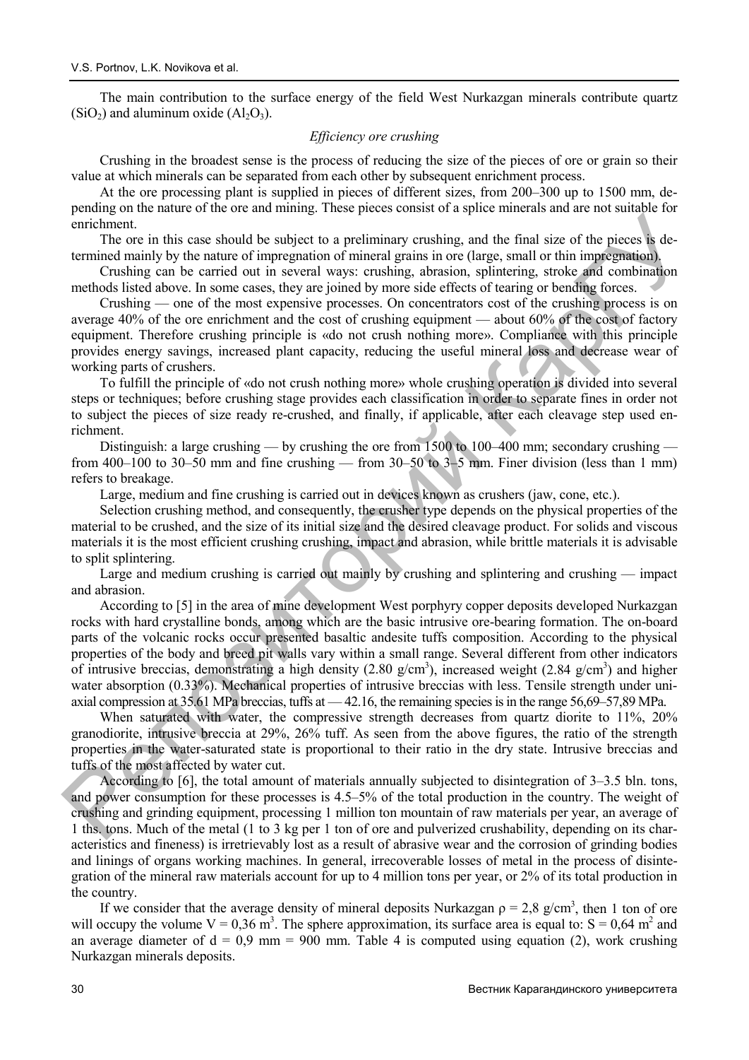The main contribution to the surface energy of the field West Nurkazgan minerals contribute quartz  $(SiO<sub>2</sub>)$  and aluminum oxide  $(Al<sub>2</sub>O<sub>3</sub>)$ .

#### *Efficiency ore crushing*

Crushing in the broadest sense is the process of reducing the size of the pieces of ore or grain so their value at which minerals can be separated from each other by subsequent enrichment process.

At the ore processing plant is supplied in pieces of different sizes, from 200–300 up to 1500 mm, depending on the nature of the ore and mining. These pieces consist of a splice minerals and are not suitable for enrichment.

The ore in this case should be subject to a preliminary crushing, and the final size of the pieces is determined mainly by the nature of impregnation of mineral grains in ore (large, small or thin impregnation).

Crushing can be carried out in several ways: crushing, abrasion, splintering, stroke and combination methods listed above. In some cases, they are joined by more side effects of tearing or bending forces.

Crushing — one of the most expensive processes. On concentrators cost of the crushing process is on average 40% of the ore enrichment and the cost of crushing equipment — about 60% of the cost of factory equipment. Therefore crushing principle is «do not crush nothing more». Compliance with this principle provides energy savings, increased plant capacity, reducing the useful mineral loss and decrease wear of working parts of crushers.

To fulfill the principle of «do not crush nothing more» whole crushing operation is divided into several steps or techniques; before crushing stage provides each classification in order to separate fines in order not to subject the pieces of size ready re-crushed, and finally, if applicable, after each cleavage step used enrichment.

Distinguish: a large crushing — by crushing the ore from 1500 to 100–400 mm; secondary crushing from 400–100 to 30–50 mm and fine crushing — from 30–50 to 3–5 mm. Finer division (less than 1 mm) refers to breakage.

Large, medium and fine crushing is carried out in devices known as crushers (jaw, cone, etc.).

Selection crushing method, and consequently, the crusher type depends on the physical properties of the material to be crushed, and the size of its initial size and the desired cleavage product. For solids and viscous materials it is the most efficient crushing crushing, impact and abrasion, while brittle materials it is advisable to split splintering.

Large and medium crushing is carried out mainly by crushing and splintering and crushing — impact and abrasion.

According to [5] in the area of mine development West porphyry copper deposits developed Nurkazgan rocks with hard crystalline bonds, among which are the basic intrusive ore-bearing formation. The on-board parts of the volcanic rocks occur presented basaltic andesite tuffs composition. According to the physical properties of the body and breed pit walls vary within a small range. Several different from other indicators of intrusive breccias, demonstrating a high density  $(2.80 \text{ g/cm}^3)$ , increased weight  $(2.84 \text{ g/cm}^3)$  and higher water absorption (0.33%). Mechanical properties of intrusive breccias with less. Tensile strength under uniaxial compression at 35.61 MPa breccias, tuffs at — 42.16, the remaining species is in the range 56,69–57,89 MPa. entimating in the same should be subject to a preliminary enashing, and the final size of the pieces is determined mainly by the nature of imperatuance prime C in the final size of the pieces is determined mainly by the n

When saturated with water, the compressive strength decreases from quartz diorite to 11%, 20% granodiorite, intrusive breccia at 29%, 26% tuff. As seen from the above figures, the ratio of the strength properties in the water-saturated state is proportional to their ratio in the dry state. Intrusive breccias and tuffs of the most affected by water cut.

According to [6], the total amount of materials annually subjected to disintegration of 3–3.5 bln. tons, and power consumption for these processes is 4.5–5% of the total production in the country. The weight of crushing and grinding equipment, processing 1 million ton mountain of raw materials per year, an average of 1 ths. tons. Much of the metal (1 to 3 kg per 1 ton of ore and pulverized crushability, depending on its characteristics and fineness) is irretrievably lost as a result of abrasive wear and the corrosion of grinding bodies and linings of organs working machines. In general, irrecoverable losses of metal in the process of disintegration of the mineral raw materials account for up to 4 million tons per year, or 2% of its total production in the country.

If we consider that the average density of mineral deposits Nurkazgan  $\rho = 2.8$  g/cm<sup>3</sup>, then 1 ton of ore will occupy the volume  $V = 0.36$  m<sup>3</sup>. The sphere approximation, its surface area is equal to:  $S = 0.64$  m<sup>2</sup> and an average diameter of  $d = 0.9$  mm = 900 mm. Table 4 is computed using equation (2), work crushing Nurkazgan minerals deposits.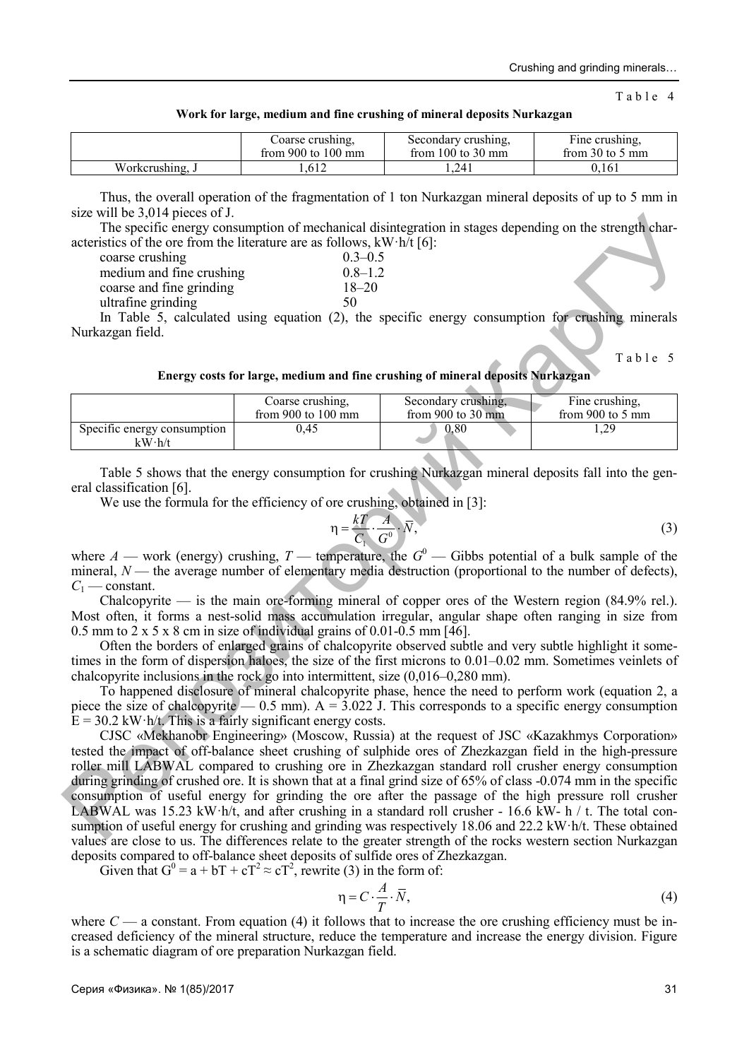Table 4

|  |  | Work for large, medium and fine crushing of mineral deposits Nurkazgan |  |
|--|--|------------------------------------------------------------------------|--|
|  |  |                                                                        |  |

|                 | Coarse crushing.             | Secondary crushing,   | Fine crushing,              |
|-----------------|------------------------------|-----------------------|-----------------------------|
|                 | from 900 to $100 \text{ mm}$ | from $100$ to $30$ mm | from $30$ to $5 \text{ mm}$ |
| Workcrushing, J | .612                         | .241                  | 0.161                       |

Thus, the overall operation of the fragmentation of 1 ton Nurkazgan mineral deposits of up to 5 mm in size will be 3,014 pieces of J.

The specific energy consumption of mechanical disintegration in stages depending on the strength characteristics of the ore from the literature are as follows,  $kW \cdot h/t$  [6]:

| coarse crushing          | $0.3 - 0.5$ |
|--------------------------|-------------|
| medium and fine crushing | $0.8 - 1.2$ |
| coarse and fine grinding | $18 - 20$   |
| ultrafine grinding       | 50          |

In Table 5, calculated using equation (2), the specific energy consumption for crushing minerals Nurkazgan field.

Table 5

| Energy costs for large, medium and fine crushing of mineral deposits Nurkazgan |  |  |  |  |  |
|--------------------------------------------------------------------------------|--|--|--|--|--|
|                                                                                |  |  |  |  |  |

|                                       | Coarse crushing.             | Secondary crushing,        | Fine crushing,   |
|---------------------------------------|------------------------------|----------------------------|------------------|
|                                       | from 900 to $100 \text{ mm}$ | from 900 to 30 $\text{mm}$ | from 900 to 5 mm |
| Specific energy consumption<br>kW·h/t | 0.45                         | $\rm 0.80$                 | .,29             |

Table 5 shows that the energy consumption for crushing Nurkazgan mineral deposits fall into the general classification [6].

We use the formula for the efficiency of ore crushing, obtained in [3]:

$$
\eta = \frac{k}{C_1} \cdot \frac{A}{G^0} \cdot \overline{N},\tag{3}
$$

where *A* — work (energy) crushing, *T* — temperature, the  $G^0$  — Gibbs potential of a bulk sample of the mineral,  $N$ — the average number of elementary media destruction (proportional to the number of defects),  $C_1$  — constant.

Chalcopyrite — is the main ore-forming mineral of copper ores of the Western region  $(84.9\% \text{ rel.})$ . Most often, it forms a nest-solid mass accumulation irregular, angular shape often ranging in size from 0.5 mm to 2 x 5 x 8 cm in size of individual grains of 0.01-0.5 mm [46].

Often the borders of enlarged grains of chalcopyrite observed subtle and very subtle highlight it sometimes in the form of dispersion haloes, the size of the first microns to 0.01–0.02 mm. Sometimes veinlets of chalcopyrite inclusions in the rock go into intermittent, size (0,016–0,280 mm).

To happened disclosure of mineral chalcopyrite phase, hence the need to perform work (equation 2, a piece the size of chalcopyrite — 0.5 mm).  $A = 3.022$  J. This corresponds to a specific energy consumption  $E = 30.2$  kW·h/t. This is a fairly significant energy costs.

CJSC «Mekhanobr Engineering» (Moscow, Russia) at the request of JSC «Kazakhmys Corporation» tested the impact of off-balance sheet crushing of sulphide ores of Zhezkazgan field in the high-pressure roller mill LABWAL compared to crushing ore in Zhezkazgan standard roll crusher energy consumption during grinding of crushed ore. It is shown that at a final grind size of 65% of class -0.074 mm in the specific consumption of useful energy for grinding the ore after the passage of the high pressure roll crusher LABWAL was 15.23 kW·h/t, and after crushing in a standard roll crusher - 16.6 kW- h / t. The total consumption of useful energy for crushing and grinding was respectively 18.06 and 22.2 kW·h/t. These obtained values are close to us. The differences relate to the greater strength of the rocks western section Nurkazgan deposits compared to off-balance sheet deposits of sulfide ores of Zhezkazgan. Size with a solid points in the strength column of mechanical distribution in stages depending on the strength characteristic content of the strength characteristic metalling<br>
and time graditing and the critical time prod

Given that  $G^0 = a + bT + cT^2 \approx cT^2$ , rewrite (3) in the form of:

$$
\eta = C \cdot \frac{A}{T} \cdot \overline{N},\tag{4}
$$

where  $C - a$  constant. From equation (4) it follows that to increase the ore crushing efficiency must be increased deficiency of the mineral structure, reduce the temperature and increase the energy division. Figure is a schematic diagram of ore preparation Nurkazgan field.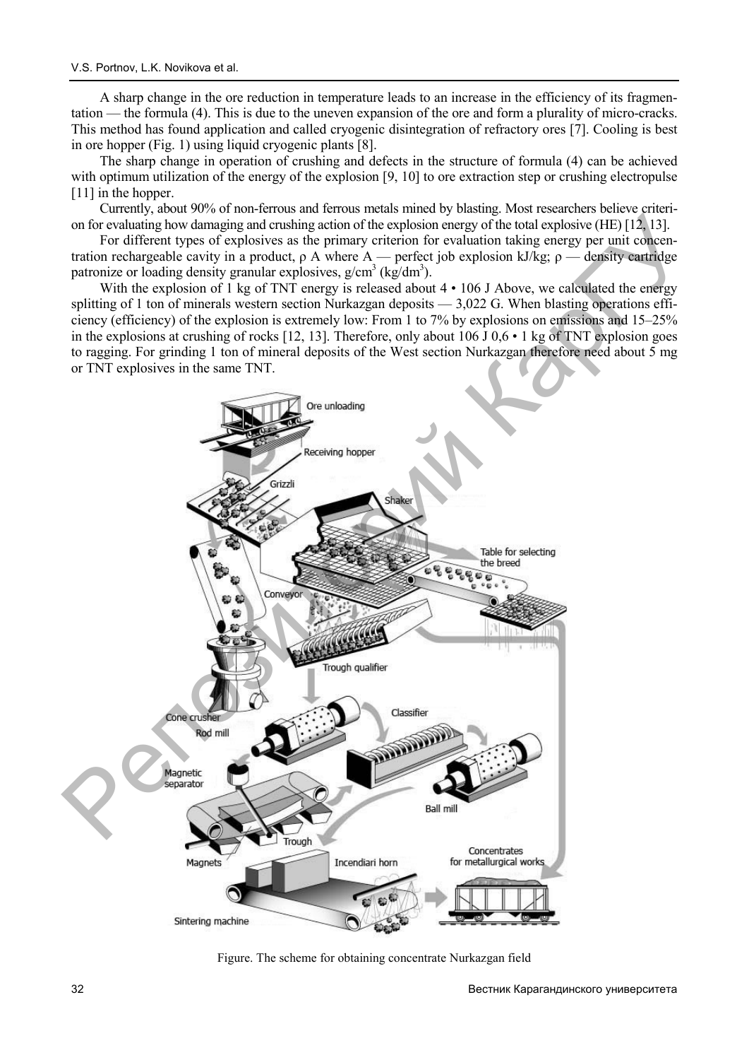A sharp change in the ore reduction in temperature leads to an increase in the efficiency of its fragmentation — the formula (4). This is due to the uneven expansion of the ore and form a plurality of micro-cracks. This method has found application and called cryogenic disintegration of refractory ores [7]. Cooling is best in ore hopper (Fig. 1) using liquid cryogenic plants [8].

The sharp change in operation of crushing and defects in the structure of formula (4) can be achieved with optimum utilization of the energy of the explosion [9, 10] to ore extraction step or crushing electropulse [11] in the hopper.

Currently, about 90% of non-ferrous and ferrous metals mined by blasting. Most researchers believe criterion for evaluating how damaging and crushing action of the explosion energy of the total explosive (HE) [12, 13].

For different types of explosives as the primary criterion for evaluation taking energy per unit concentration rechargeable cavity in a product, ρ A where A — perfect job explosion kJ/kg; ρ — density cartridge patronize or loading density granular explosives,  $g/cm^3$  (kg/dm<sup>3</sup>).

With the explosion of 1 kg of TNT energy is released about  $4 \cdot 106$  J Above, we calculated the energy splitting of 1 ton of minerals western section Nurkazgan deposits  $-3.022$  G. When blasting operations efficiency (efficiency) of the explosion is extremely low: From 1 to 7% by explosions on emissions and 15–25% in the explosions at crushing of rocks [12, 13]. Therefore, only about 106 J 0,6 • 1 kg of TNT explosion goes to ragging. For grinding 1 ton of mineral deposits of the West section Nurkazgan therefore need about 5 mg or TNT explosives in the same TNT.



Figure. The scheme for obtaining concentrate Nurkazgan field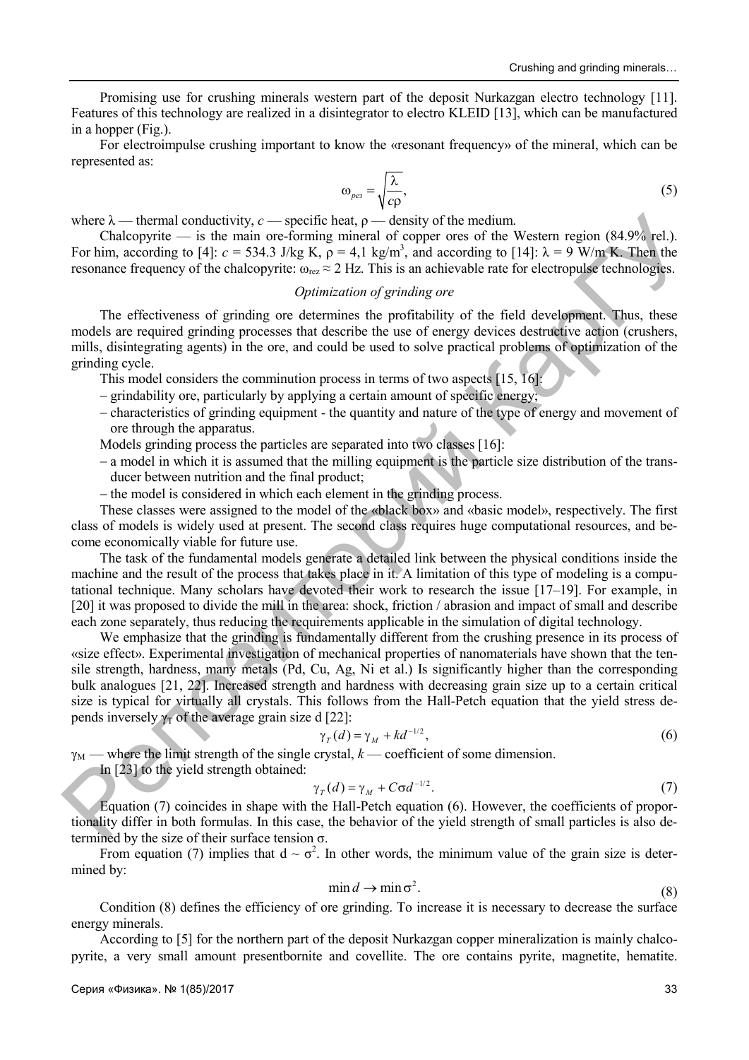Promising use for crushing minerals western part of the deposit Nurkazgan electro technology [11]. Features of this technology are realized in a disintegrator to electro KLEID [13], which can be manufactured in a hopper (Fig.).

For electroimpulse crushing important to know the «resonant frequency» of the mineral, which can be represented as:

$$
\omega_{\text{pes}} = \sqrt{\frac{\lambda}{c\rho}},\tag{5}
$$

where  $\lambda$  — thermal conductivity, *c* — specific heat,  $\rho$  — density of the medium.

Chalcopyrite — is the main ore-forming mineral of copper ores of the Western region  $(84.9\% \text{ rel.})$ . For him, according to [4]:  $c = 534.3$  J/kg K,  $\rho = 4.1$  kg/m<sup>3</sup>, and according to [14]:  $\lambda = 9$  W/m K. Then the resonance frequency of the chalcopyrite:  $\omega_{\text{rez}} \approx 2 \text{ Hz}$ . This is an achievable rate for electropulse technologies.

## *Optimization of grinding ore*

The effectiveness of grinding ore determines the profitability of the field development. Thus, these models are required grinding processes that describe the use of energy devices destructive action (crushers, mills, disintegrating agents) in the ore, and could be used to solve practical problems of optimization of the grinding cycle.

This model considers the comminution process in terms of two aspects [15, 16]:

- grindability ore, particularly by applying a certain amount of specific energy;
- characteristics of grinding equipment the quantity and nature of the type of energy and movement of ore through the apparatus.
- Models grinding process the particles are separated into two classes [16]:
- a model in which it is assumed that the milling equipment is the particle size distribution of the transducer between nutrition and the final product;
- the model is considered in which each element in the grinding process.

These classes were assigned to the model of the «black box» and «basic model», respectively. The first class of models is widely used at present. The second class requires huge computational resources, and become economically viable for future use.

The task of the fundamental models generate a detailed link between the physical conditions inside the machine and the result of the process that takes place in it. A limitation of this type of modeling is a computational technique. Many scholars have devoted their work to research the issue [17–19]. For example, in [20] it was proposed to divide the mill in the area: shock, friction / abrasion and impact of small and describe each zone separately, thus reducing the requirements applicable in the simulation of digital technology.

We emphasize that the grinding is fundamentally different from the crushing presence in its process of «size effect». Experimental investigation of mechanical properties of nanomaterials have shown that the tensile strength, hardness, many metals (Pd, Cu, Ag, Ni et al.) Is significantly higher than the corresponding bulk analogues [21, 22]. Increased strength and hardness with decreasing grain size up to a certain critical size is typical for virtually all crystals. This follows from the Hall-Petch equation that the yield stress depends inversely  $\gamma_T$  of the average grain size d [22]: where  $\lambda$ — then<br>an conductivity,  $c =$  pectic heat,  $\rho$ —density of the nodium.<br>
The Channel content is the main one-forming mixeral of copper ores of the Western region (84.9% rel.).<br>
For him, according to [4]:  $c = 5343.$ 

$$
\gamma_T(d) = \gamma_M + kd^{-1/2},\tag{6}
$$

 $\gamma_M$  — where the limit strength of the single crystal,  $k$  — coefficient of some dimension.

In [23] to the yield strength obtained:

$$
C_{\gamma}(d) = \gamma_M + C \sigma d^{-1/2}.\tag{7}
$$

Equation (7) coincides in shape with the Hall-Petch equation (6). However, the coefficients of proportionality differ in both formulas. In this case, the behavior of the yield strength of small particles is also determined by the size of their surface tension  $\sigma$ .

From equation (7) implies that  $d \sim \sigma^2$ . In other words, the minimum value of the grain size is determined by:<br>  $\min d \to \min \sigma^2$ . (8)

$$
\min d \to \min \sigma^2. \tag{8}
$$

Condition (8) defines the efficiency of ore grinding. To increase it is necessary to decrease the surface energy minerals.

According to [5] for the northern part of the deposit Nurkazgan copper mineralization is mainly chalcopyrite, a very small amount presentbornite and covellite. The ore contains pyrite, magnetite, hematite.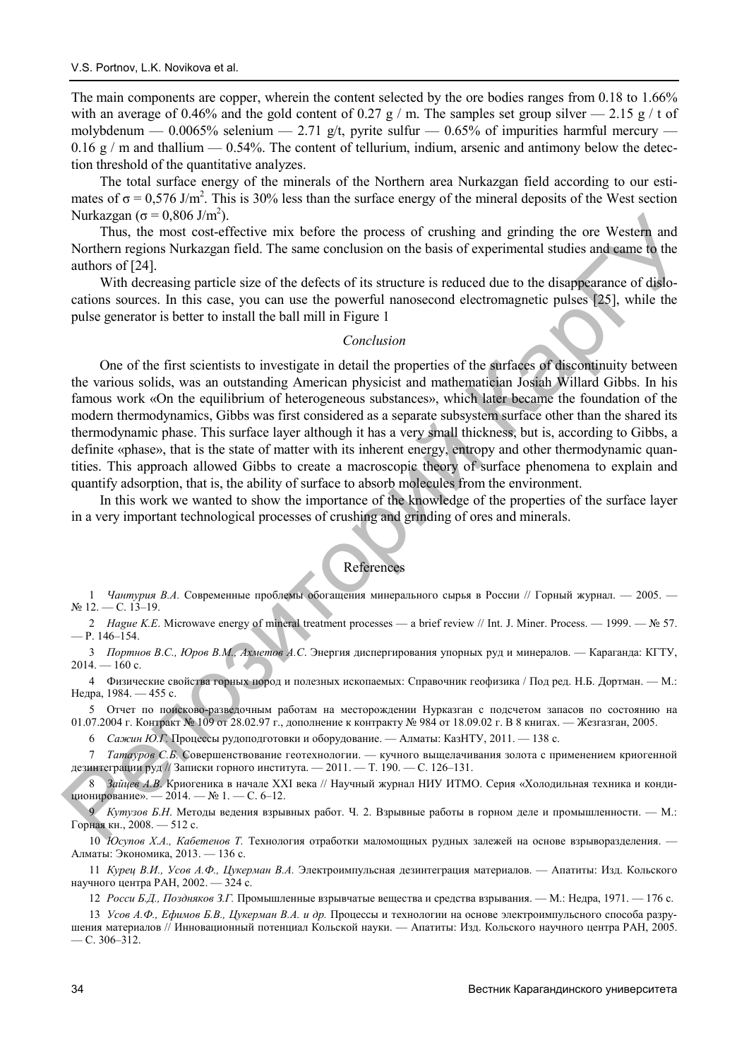The main components are copper, wherein the content selected by the ore bodies ranges from 0.18 to 1.66% with an average of 0.46% and the gold content of 0.27 g / m. The samples set group silver  $-$  2.15 g / t of molybdenum — 0.0065% selenium — 2.71 g/t, pyrite sulfur — 0.65% of impurities harmful mercury —  $0.16 \text{ g}$  / m and thallium — 0.54%. The content of tellurium, indium, arsenic and antimony below the detection threshold of the quantitative analyzes.

The total surface energy of the minerals of the Northern area Nurkazgan field according to our estimates of  $\sigma = 0.576$  J/m<sup>2</sup>. This is 30% less than the surface energy of the mineral deposits of the West section Nurkazgan ( $\sigma$  = 0,806 J/m<sup>2</sup>).

Thus, the most cost-effective mix before the process of crushing and grinding the ore Western and Northern regions Nurkazgan field. The same conclusion on the basis of experimental studies and came to the authors of [24].

With decreasing particle size of the defects of its structure is reduced due to the disappearance of dislocations sources. In this case, you can use the powerful nanosecond electromagnetic pulses [25], while the pulse generator is better to install the ball mill in Figure 1

#### *Conclusion*

One of the first scientists to investigate in detail the properties of the surfaces of discontinuity between the various solids, was an outstanding American physicist and mathematician Josiah Willard Gibbs. In his famous work «On the equilibrium of heterogeneous substances», which later became the foundation of the modern thermodynamics, Gibbs was first considered as a separate subsystem surface other than the shared its thermodynamic phase. This surface layer although it has a very small thickness, but is, according to Gibbs, a definite «phase», that is the state of matter with its inherent energy, entropy and other thermodynamic quantities. This approach allowed Gibbs to create a macroscopic theory of surface phenomena to explain and quantify adsorption, that is, the ability of surface to absorb molecules from the environment. Nurkaryan ( $\sigma = 0.9816$  Jims)<br>Thus (1000 Jims)<br>Thus (1000 Jims) and grading the ore Western and<br>
Northern regions Nurkarzgan field. The same conclusion on the basis of experimental studies and earne fo the<br>
with decreasin

In this work we wanted to show the importance of the knowledge of the properties of the surface layer in a very important technological processes of crushing and grinding of ores and minerals.

## References

1 *Чантурия В.А.* Современные проблемы обогащения минерального сырья в России // Горный журнал. — 2005. —  $N_2$  12. — C. 13–19.

2 *Hague K.E*. Microwave energy of mineral treatment processes — a brief review // Int. J. Miner. Process. — 1999. — № 57. — Р. 146–154.

3 *Портнов В*.*С., Юров В.М., Ахметов А.С*. Энергия диспергирования упорных руд и минералов. — Караганда: КГТУ,  $2014. - 160$  c.

4 Физические свойства горных пород и полезных ископаемых: Справочник геофизика / Под ред. Н.Б. Дортман. — М.: Недра, 1984. — 455 с.

5 Отчет по поисково-разведочным работам на месторождении Нурказган с подсчетом запасов по состоянию на 01.07.2004 г. Контракт № 109 от 28.02.97 г., дополнение к контракту № 984 от 18.09.02 г. В 8 книгах. — Жезгазган, 2005.

6 *Сажин Ю.Г.* Процессы рудоподготовки и оборудование. — Алматы: КазНТУ, 2011. — 138 с.

7 *Татауров С.Б.* Совершенствование геотехнологии. — кучного выщелачивания золота с применением криогенной дезинтеграции руд // Записки горного института. - 2011. - Т. 190. - С. 126-131.

8 *Зайцев А.В*. Криогеника в начале XXI века // Научный журнал НИУ ИТМО. Серия «Холодильная техника и кондиционирование». — 2014. — № 1. — С. 6-12.

9 *Кутузов Б*.*Н*. Методы ведения взрывных работ. Ч. 2. Взрывные работы в горном деле и промышленности. — М.: Горная кн., 2008. — 512 с.

10 *Юсупов Х*.*А., Кабетенов Т.* Технология отработки маломощных рудных залежей на основе взрыворазделения. — Алматы: Экономика, 2013. — 136 с.

11 *Курец В.И., Усов А.Ф., Цукерман В.А.* Электроимпульсная дезинтеграция материалов. — Апатиты: Изд. Кольского научного центра РАН, 2002. — 324 с.

12 *Росси Б.Д., Поздняков З.Г.* Промышленные взрывчатые вещества и средства взрывания. — М.: Недра, 1971. — 176 с.

13 Усов А.Ф., Ефимов Б.В., Цукерман В.А. и др. Процессы и технологии на основе электроимпульсного способа разрушения материалов // Инновационный потенциал Кольской науки. — Апатиты: Изд. Кольского научного центра РАН, 2005.  $-$  C. 306–312.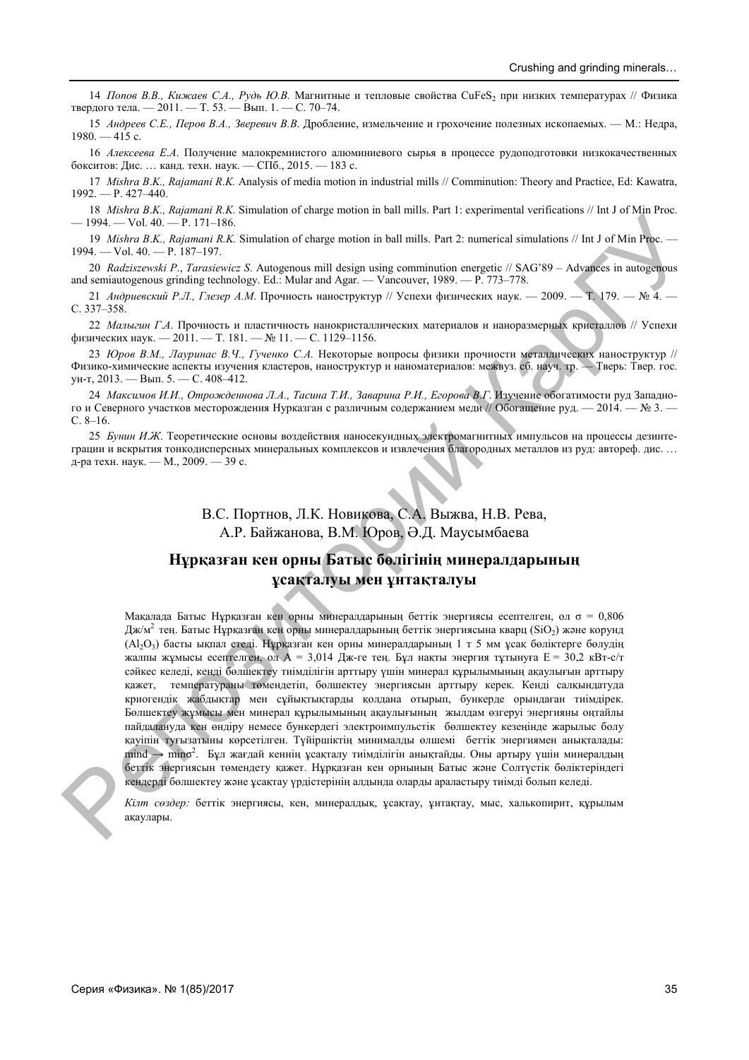14 *Попов В.В., Кижаев С.А., Рудь Ю.В.* Магнитные и тепловые свойства CuFeS2 при низких температурах // Физика твердого тела. — 2011. — Т. 53. — Вып. 1. — С. 70–74.

15 *Андреев С.Е., Перов В.А., Зверевич В.В*. Дробление, измельчение и грохочение полезных ископаемых. — М.: Недра, 1980. — 415 с.

16 *Алексеева Е*.*А*. Получение малокремнистого алюминиевого сырья в процессе рудоподготовки низкокачественных бокситов: Дис. … канд. техн. наук. — СПб., 2015. — 183 с.

17 *Mishra B*.*K., Rajamani R.K.* Analysis of media motion in industrial mills // Comminution: Theory and Practice, Ed: Kawatra,  $1992. - P. 427 - 440.$ 

18 *Mishra B*.*K., Rajamani R.K.* Simulation of charge motion in ball mills. Part 1: experimental verifications // Int J of Min Proc. — 1994. — Vol. 40. — P. 171–186.

19 *Mishra B*.*K., Rajamani R.K.* Simulation of charge motion in ball mills. Part 2: numerical simulations // Int J of Min Proc. — 1994. — Vol. 40. — P. 187–197.

20 *Radziszewski P*., *Tarasiewicz S*. Autogenous mill design using comminution energetic // SAG'89 – Advances in autogenous and semiautogenous grinding technology. Ed.: Mular and Agar. — Vancouver, 1989. — P. 773–778.

21 *Андриевский Р.Л., Глезер А.М*. Прочность наноструктур // Успехи физических наук. — 2009. — Т. 179. — № 4. — С. 337–358.

22 *Малыгин Г*.*А*. Прочность и пластичность нанокристаллических материалов и наноразмерных кристаллов // Успехи физических наук. — 2011. — Т. 181. — № 11. — С. 1129–1156.

23 *Юров В.М., Лауринас В.Ч., Гученко С.А.* Некоторые вопросы физики прочности металлических наноструктур // Физико-химические аспекты изучения кластеров, наноструктур и наноматериалов: межвуз. сб. науч. тр. — Тверь: Твер. гос. ун-т, 2013. — Вып. 5. — С. 408–412.

24 Максимов И.И., Отрожденнова Л.А., Тасина Т.И., Заварина Р.И., Егорова В.Г. Изучение обогатимости руд Западного и Северного участков месторождения Нурказган с различным содержанием меди // Обогащение руд. — 2014. — № 3. — С. 8–16.

25 *Бунин И*.*Ж*. Теоретические основы воздействия наносекундных электромагнитных импульсов на процессы дезинтеграции и вскрытия тонкодисперсных минеральных комплексов и извлечения благородных металлов из руд: автореф. дис. … д-ра техн. наук. — М., 2009. — 39 с.

> В.С. Портнов, Л.К. Новикова, С.А. Выжва, Н.В. Рева, А.Р. Байжанова, В.М. Юров, Ə.Д. Маусымбаева

# **Нұрқазған кен орны Батыс бөлігінің минералдарының ұсақталуы мен ұнтақталуы**

Мақалада Батыс Нұрқазған кен орны минералдарының беттік энергиясы есептелген, ол  $\sigma = 0.806$ Дж/м<sup>2</sup> тең. Батыс Нұрқазған кен орны минералдарының беттік энергиясына кварц (SiO<sub>2</sub>) және корунд (Al2O3) басты ықпал етеді. Нұрқазған кен орны минералдарының 1 т 5 мм ұсақ бөліктерге бөлудің жалпы жұмысы есептелген, ол А = 3,014 Дж-ге тең. Бұл нақты энергия тұтынуға Е = 30,2 кВт-с/т сəйкес келеді, кенді бөлшектеу тиімділігін арттыру үшін минерал құрылымының ақаулығын арттыру қажет, температураны төмендетіп, бөлшектеу энергиясын арттыру керек. Кенді салқындатуда криогендік жабдықтар мен сұйықтықтарды қолдана отырып, бункерде орындаған тиімдірек. Бөлшектеу жұмысы мен минерал құрылымының ақаулығының жылдам өзгеруі энергияны оңтайлы пайдалануда кен өндіру немесе бункердегі электроимпульстік бөлшектеу кезеңінде жарылыс болу қауіпін туғызатыны көрсетілген. Түйіршіктің минималды өлшемі беттік энергиямен анықталады:  $m$ ind  $\rightarrow$  mino<sup>2</sup>. Бұл жағдай кеннің ұсақталу тиімділігін анықтайды. Оны артыру үшін минералдын беттік энергиясын төмендету қажет. Нұрқазған кен орнының Батыс жəне Солтүстік бөліктеріндегі кендерді бөлшектеу жəне ұсақтау үрдістерінің алдында оларды араластыру тиімді болып келеді.  $\begin{array}{l} \text{23}\ \text{24}\ \text{25}\ \text{26}\ \text{27}\ \text{28}\ \text{28}\ \text{29}\ \text{20}\ \text{21}\ \text{21}\ \text{22}\ \text{23}\ \text{25}\ \text{26}\ \text{27}\ \text{28}\ \text{29}\ \text{20}\ \text{21}\ \text{22}\ \text{23}\ \text{25}\ \text{26}\ \text{27}\ \text{28}\ \text{29}\ \text{20}\ \text{21}\ \text{22}\ \text{21}\ \text{22}\ \text{23}\ \text{25}\ \text{26}\ \text$ no. 2007, The Southeast of the metallic in the limit is the C-permetrial velocity of the southern extendiby  $K = 100$  and  $K = 100$  and  $K = 100$  and  $K = 100$  and  $K = 100$  and  $K = 100$  and  $K = 100$  and  $K = 100$  and  $K = 100$ 



*Кілт сөздер:* беттік энергиясы, кен, минералдық, ұсақтау, ұнтақтау, мыс, халькопирит, құрылым ақаулары .